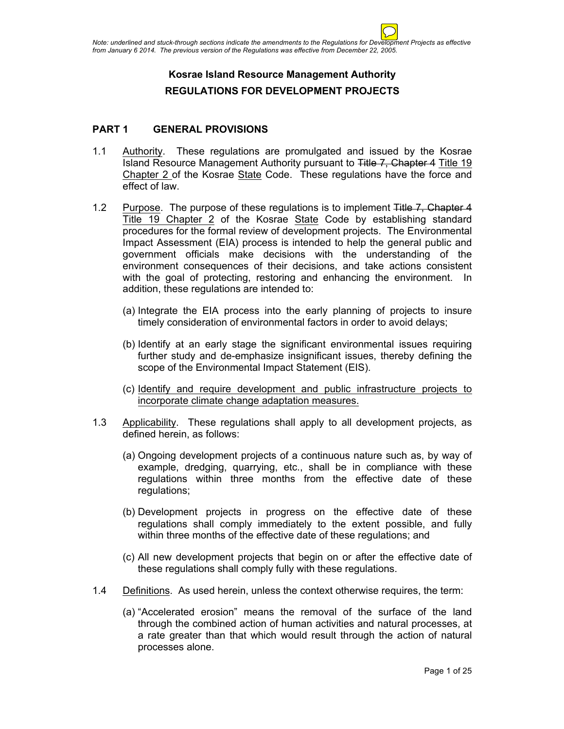# **Kosrae Island Resource Management Authority REGULATIONS FOR DEVELOPMENT PROJECTS**

### **PART 1 GENERAL PROVISIONS**

- 1.1 Authority. These regulations are promulgated and issued by the Kosrae Island Resource Management Authority pursuant to Title 7, Chapter 4 Title 19 Chapter 2 of the Kosrae State Code. These regulations have the force and effect of law.
- 1.2 Purpose. The purpose of these regulations is to implement Title 7, Chapter 4 Title 19 Chapter 2 of the Kosrae State Code by establishing standard procedures for the formal review of development projects. The Environmental Impact Assessment (EIA) process is intended to help the general public and government officials make decisions with the understanding of the environment consequences of their decisions, and take actions consistent with the goal of protecting, restoring and enhancing the environment. In addition, these regulations are intended to:
	- (a) Integrate the EIA process into the early planning of projects to insure timely consideration of environmental factors in order to avoid delays;
	- (b) Identify at an early stage the significant environmental issues requiring further study and de-emphasize insignificant issues, thereby defining the scope of the Environmental Impact Statement (EIS).
	- (c) Identify and require development and public infrastructure projects to incorporate climate change adaptation measures.
- 1.3 Applicability. These regulations shall apply to all development projects, as defined herein, as follows:
	- (a) Ongoing development projects of a continuous nature such as, by way of example, dredging, quarrying, etc., shall be in compliance with these regulations within three months from the effective date of these regulations;
	- (b) Development projects in progress on the effective date of these regulations shall comply immediately to the extent possible, and fully within three months of the effective date of these regulations; and
	- (c) All new development projects that begin on or after the effective date of these regulations shall comply fully with these regulations.
- 1.4 Definitions. As used herein, unless the context otherwise requires, the term:
	- (a) "Accelerated erosion" means the removal of the surface of the land through the combined action of human activities and natural processes, at a rate greater than that which would result through the action of natural processes alone.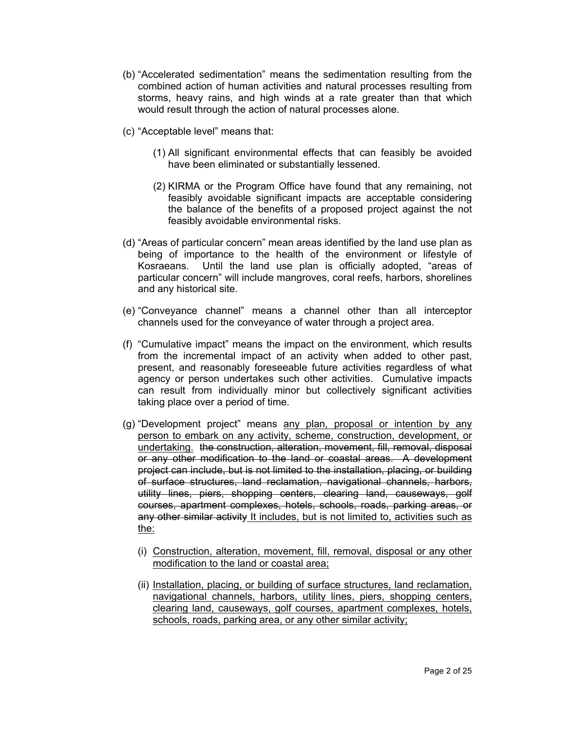- (b) "Accelerated sedimentation" means the sedimentation resulting from the combined action of human activities and natural processes resulting from storms, heavy rains, and high winds at a rate greater than that which would result through the action of natural processes alone.
- (c) "Acceptable level" means that:
	- (1) All significant environmental effects that can feasibly be avoided have been eliminated or substantially lessened.
	- (2) KIRMA or the Program Office have found that any remaining, not feasibly avoidable significant impacts are acceptable considering the balance of the benefits of a proposed project against the not feasibly avoidable environmental risks.
- (d) "Areas of particular concern" mean areas identified by the land use plan as being of importance to the health of the environment or lifestyle of Kosraeans. Until the land use plan is officially adopted, "areas of particular concern" will include mangroves, coral reefs, harbors, shorelines and any historical site.
- (e) "Conveyance channel" means a channel other than all interceptor channels used for the conveyance of water through a project area.
- (f) "Cumulative impact" means the impact on the environment, which results from the incremental impact of an activity when added to other past, present, and reasonably foreseeable future activities regardless of what agency or person undertakes such other activities. Cumulative impacts can result from individually minor but collectively significant activities taking place over a period of time.
- (g) "Development project" means any plan, proposal or intention by any person to embark on any activity, scheme, construction, development, or undertaking. the construction, alteration, movement, fill, removal, disposal or any other modification to the land or coastal areas. A development project can include, but is not limited to the installation, placing, or building of surface structures, land reclamation, navigational channels, harbors, utility lines, piers, shopping centers, clearing land, causeways, golf courses, apartment complexes, hotels, schools, roads, parking areas, or any other similar activity It includes, but is not limited to, activities such as the:
	- (i) Construction, alteration, movement, fill, removal, disposal or any other modification to the land or coastal area;
	- (ii) Installation, placing, or building of surface structures, land reclamation, navigational channels, harbors, utility lines, piers, shopping centers, clearing land, causeways, golf courses, apartment complexes, hotels, schools, roads, parking area, or any other similar activity;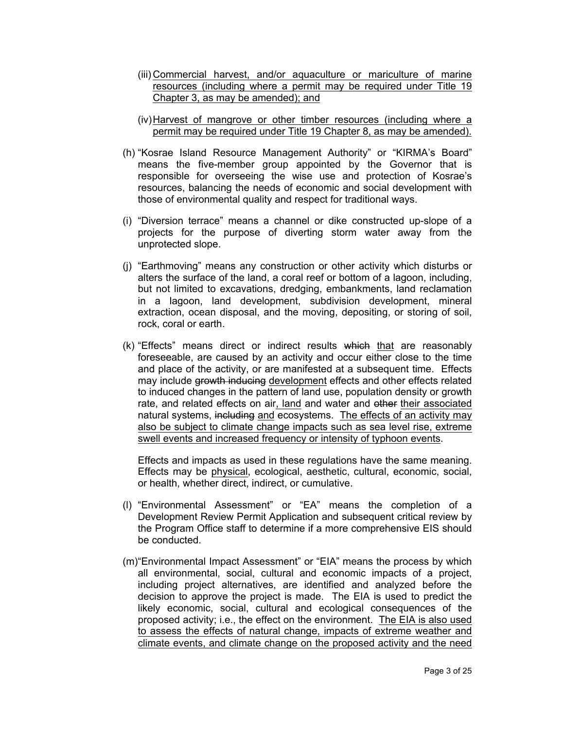- (iii) Commercial harvest, and/or aquaculture or mariculture of marine resources (including where a permit may be required under Title 19 Chapter 3, as may be amended); and
- (iv)Harvest of mangrove or other timber resources (including where a permit may be required under Title 19 Chapter 8, as may be amended).
- (h) "Kosrae Island Resource Management Authority" or "KIRMA's Board" means the five-member group appointed by the Governor that is responsible for overseeing the wise use and protection of Kosrae's resources, balancing the needs of economic and social development with those of environmental quality and respect for traditional ways.
- (i) "Diversion terrace" means a channel or dike constructed up-slope of a projects for the purpose of diverting storm water away from the unprotected slope.
- (j) "Earthmoving" means any construction or other activity which disturbs or alters the surface of the land, a coral reef or bottom of a lagoon, including, but not limited to excavations, dredging, embankments, land reclamation in a lagoon, land development, subdivision development, mineral extraction, ocean disposal, and the moving, depositing, or storing of soil, rock, coral or earth.
- (k) "Effects" means direct or indirect results which that are reasonably foreseeable, are caused by an activity and occur either close to the time and place of the activity, or are manifested at a subsequent time. Effects may include growth inducing development effects and other effects related to induced changes in the pattern of land use, population density or growth rate, and related effects on air, land and water and other their associated natural systems, including and ecosystems. The effects of an activity may also be subject to climate change impacts such as sea level rise, extreme swell events and increased frequency or intensity of typhoon events.

Effects and impacts as used in these regulations have the same meaning. Effects may be physical, ecological, aesthetic, cultural, economic, social, or health, whether direct, indirect, or cumulative.

- (l) "Environmental Assessment" or "EA" means the completion of a Development Review Permit Application and subsequent critical review by the Program Office staff to determine if a more comprehensive EIS should be conducted.
- (m)"Environmental Impact Assessment" or "EIA" means the process by which all environmental, social, cultural and economic impacts of a project, including project alternatives, are identified and analyzed before the decision to approve the project is made. The EIA is used to predict the likely economic, social, cultural and ecological consequences of the proposed activity; i.e., the effect on the environment. The EIA is also used to assess the effects of natural change, impacts of extreme weather and climate events, and climate change on the proposed activity and the need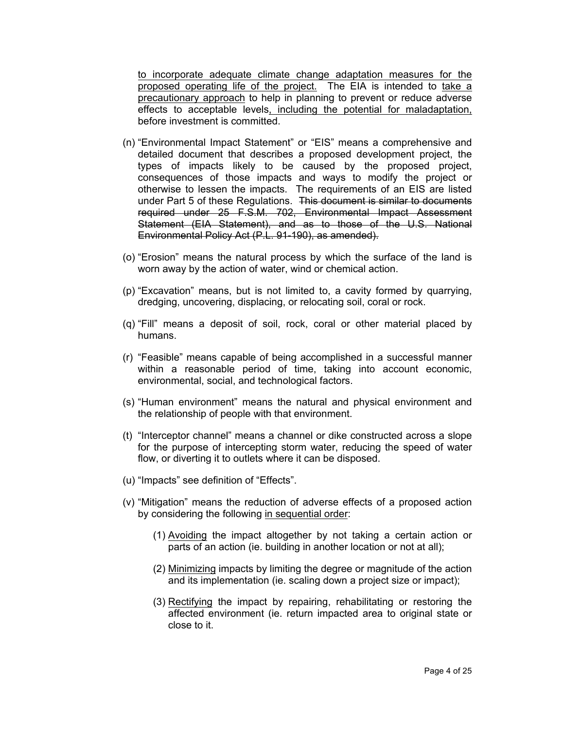to incorporate adequate climate change adaptation measures for the proposed operating life of the project. The EIA is intended to take a precautionary approach to help in planning to prevent or reduce adverse effects to acceptable levels, including the potential for maladaptation, before investment is committed.

- (n) "Environmental Impact Statement" or "EIS" means a comprehensive and detailed document that describes a proposed development project, the types of impacts likely to be caused by the proposed project, consequences of those impacts and ways to modify the project or otherwise to lessen the impacts. The requirements of an EIS are listed under Part 5 of these Regulations. This document is similar to documents required under 25 F.S.M. 702, Environmental Impact Assessment Statement (EIA Statement), and as to those of the U.S. National Environmental Policy Act (P.L. 91-190), as amended).
- (o) "Erosion" means the natural process by which the surface of the land is worn away by the action of water, wind or chemical action.
- (p) "Excavation" means, but is not limited to, a cavity formed by quarrying, dredging, uncovering, displacing, or relocating soil, coral or rock.
- (q) "Fill" means a deposit of soil, rock, coral or other material placed by humans.
- (r) "Feasible" means capable of being accomplished in a successful manner within a reasonable period of time, taking into account economic, environmental, social, and technological factors.
- (s) "Human environment" means the natural and physical environment and the relationship of people with that environment.
- (t) "Interceptor channel" means a channel or dike constructed across a slope for the purpose of intercepting storm water, reducing the speed of water flow, or diverting it to outlets where it can be disposed.
- (u) "Impacts" see definition of "Effects".
- (v) "Mitigation" means the reduction of adverse effects of a proposed action by considering the following in sequential order:
	- (1) Avoiding the impact altogether by not taking a certain action or parts of an action (ie. building in another location or not at all);
	- (2) Minimizing impacts by limiting the degree or magnitude of the action and its implementation (ie. scaling down a project size or impact);
	- (3) Rectifying the impact by repairing, rehabilitating or restoring the affected environment (ie. return impacted area to original state or close to it.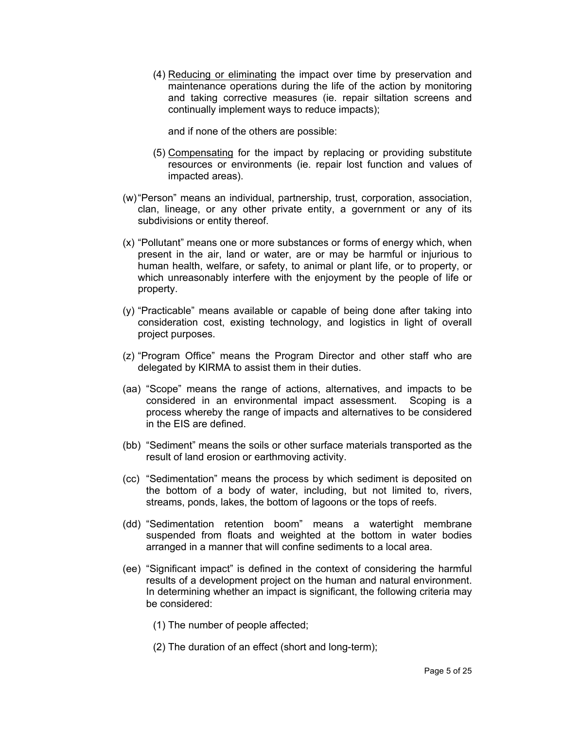(4) Reducing or eliminating the impact over time by preservation and maintenance operations during the life of the action by monitoring and taking corrective measures (ie. repair siltation screens and continually implement ways to reduce impacts);

and if none of the others are possible:

- (5) Compensating for the impact by replacing or providing substitute resources or environments (ie. repair lost function and values of impacted areas).
- (w)"Person" means an individual, partnership, trust, corporation, association, clan, lineage, or any other private entity, a government or any of its subdivisions or entity thereof.
- (x) "Pollutant" means one or more substances or forms of energy which, when present in the air, land or water, are or may be harmful or injurious to human health, welfare, or safety, to animal or plant life, or to property, or which unreasonably interfere with the enjoyment by the people of life or property.
- (y) "Practicable" means available or capable of being done after taking into consideration cost, existing technology, and logistics in light of overall project purposes.
- (z) "Program Office" means the Program Director and other staff who are delegated by KIRMA to assist them in their duties.
- (aa) "Scope" means the range of actions, alternatives, and impacts to be considered in an environmental impact assessment. Scoping is a process whereby the range of impacts and alternatives to be considered in the EIS are defined.
- (bb) "Sediment" means the soils or other surface materials transported as the result of land erosion or earthmoving activity.
- (cc) "Sedimentation" means the process by which sediment is deposited on the bottom of a body of water, including, but not limited to, rivers, streams, ponds, lakes, the bottom of lagoons or the tops of reefs.
- (dd) "Sedimentation retention boom" means a watertight membrane suspended from floats and weighted at the bottom in water bodies arranged in a manner that will confine sediments to a local area.
- (ee) "Significant impact" is defined in the context of considering the harmful results of a development project on the human and natural environment. In determining whether an impact is significant, the following criteria may be considered:
	- (1) The number of people affected;
	- (2) The duration of an effect (short and long-term);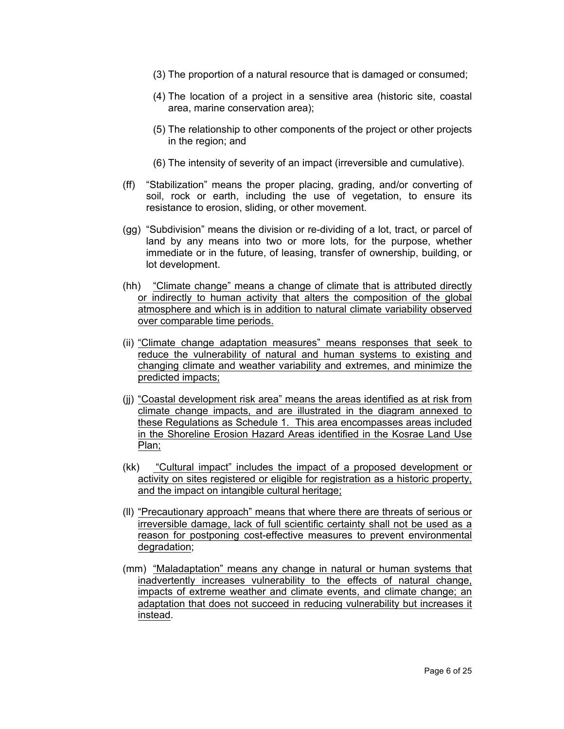- (3) The proportion of a natural resource that is damaged or consumed;
- (4) The location of a project in a sensitive area (historic site, coastal area, marine conservation area);
- (5) The relationship to other components of the project or other projects in the region; and
- (6) The intensity of severity of an impact (irreversible and cumulative).
- (ff) "Stabilization" means the proper placing, grading, and/or converting of soil, rock or earth, including the use of vegetation, to ensure its resistance to erosion, sliding, or other movement.
- (gg) "Subdivision" means the division or re-dividing of a lot, tract, or parcel of land by any means into two or more lots, for the purpose, whether immediate or in the future, of leasing, transfer of ownership, building, or lot development.
- (hh) "Climate change" means a change of climate that is attributed directly or indirectly to human activity that alters the composition of the global atmosphere and which is in addition to natural climate variability observed over comparable time periods.
- (ii) "Climate change adaptation measures" means responses that seek to reduce the vulnerability of natural and human systems to existing and changing climate and weather variability and extremes, and minimize the predicted impacts;
- (jj) "Coastal development risk area" means the areas identified as at risk from climate change impacts, and are illustrated in the diagram annexed to these Regulations as Schedule 1. This area encompasses areas included in the Shoreline Erosion Hazard Areas identified in the Kosrae Land Use Plan;
- (kk) "Cultural impact" includes the impact of a proposed development or activity on sites registered or eligible for registration as a historic property, and the impact on intangible cultural heritage;
- (ll) "Precautionary approach" means that where there are threats of serious or irreversible damage, lack of full scientific certainty shall not be used as a reason for postponing cost-effective measures to prevent environmental degradation;
- (mm) "Maladaptation" means any change in natural or human systems that inadvertently increases vulnerability to the effects of natural change, impacts of extreme weather and climate events, and climate change; an adaptation that does not succeed in reducing vulnerability but increases it instead.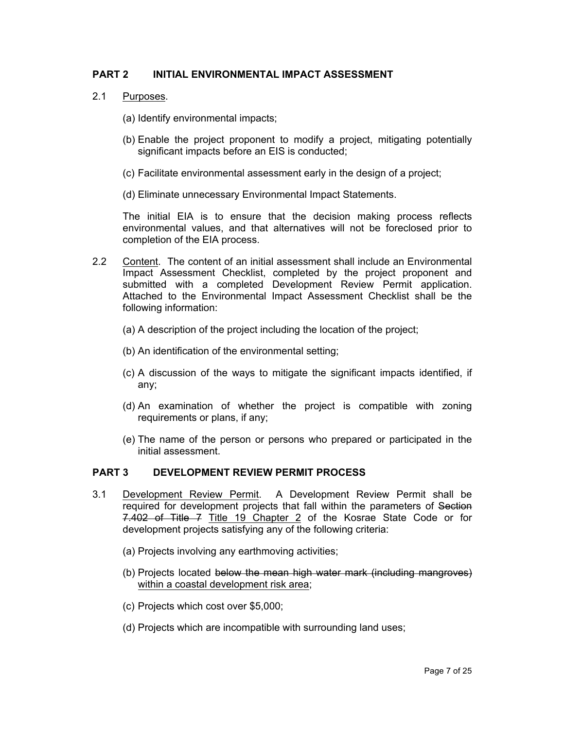# **PART 2 INITIAL ENVIRONMENTAL IMPACT ASSESSMENT**

- 2.1 Purposes.
	- (a) Identify environmental impacts;
	- (b) Enable the project proponent to modify a project, mitigating potentially significant impacts before an EIS is conducted;
	- (c) Facilitate environmental assessment early in the design of a project;
	- (d) Eliminate unnecessary Environmental Impact Statements.

The initial EIA is to ensure that the decision making process reflects environmental values, and that alternatives will not be foreclosed prior to completion of the EIA process.

- 2.2 Content. The content of an initial assessment shall include an Environmental Impact Assessment Checklist, completed by the project proponent and submitted with a completed Development Review Permit application. Attached to the Environmental Impact Assessment Checklist shall be the following information:
	- (a) A description of the project including the location of the project;
	- (b) An identification of the environmental setting;
	- (c) A discussion of the ways to mitigate the significant impacts identified, if any;
	- (d) An examination of whether the project is compatible with zoning requirements or plans, if any;
	- (e) The name of the person or persons who prepared or participated in the initial assessment.

# **PART 3 DEVELOPMENT REVIEW PERMIT PROCESS**

- 3.1 Development Review Permit. A Development Review Permit shall be required for development projects that fall within the parameters of Section 7.402 of Title 7 Title 19 Chapter 2 of the Kosrae State Code or for development projects satisfying any of the following criteria:
	- (a) Projects involving any earthmoving activities;
	- (b) Projects located below the mean high water mark (including mangroves) within a coastal development risk area;
	- (c) Projects which cost over \$5,000;
	- (d) Projects which are incompatible with surrounding land uses;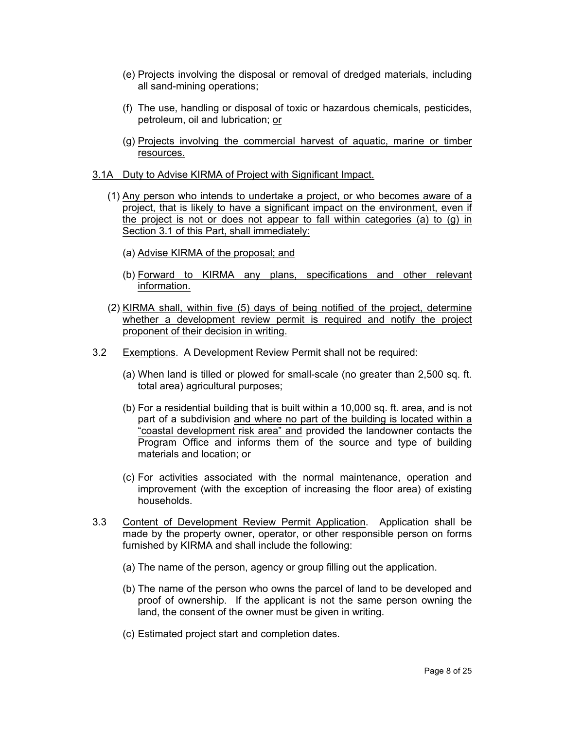- (e) Projects involving the disposal or removal of dredged materials, including all sand-mining operations;
- (f) The use, handling or disposal of toxic or hazardous chemicals, pesticides, petroleum, oil and lubrication; or
- (g) Projects involving the commercial harvest of aquatic, marine or timber resources.
- 3.1A Duty to Advise KIRMA of Project with Significant Impact.
	- (1) Any person who intends to undertake a project, or who becomes aware of a project, that is likely to have a significant impact on the environment, even if the project is not or does not appear to fall within categories (a) to (g) in Section 3.1 of this Part, shall immediately:
		- (a) Advise KIRMA of the proposal; and
		- (b) Forward to KIRMA any plans, specifications and other relevant information.
	- (2) KIRMA shall, within five (5) days of being notified of the project, determine whether a development review permit is required and notify the project proponent of their decision in writing.
- 3.2 Exemptions. A Development Review Permit shall not be required:
	- (a) When land is tilled or plowed for small-scale (no greater than 2,500 sq. ft. total area) agricultural purposes;
	- (b) For a residential building that is built within a 10,000 sq. ft. area, and is not part of a subdivision and where no part of the building is located within a "coastal development risk area" and provided the landowner contacts the Program Office and informs them of the source and type of building materials and location; or
	- (c) For activities associated with the normal maintenance, operation and improvement (with the exception of increasing the floor area) of existing households.
- 3.3 Content of Development Review Permit Application. Application shall be made by the property owner, operator, or other responsible person on forms furnished by KIRMA and shall include the following:
	- (a) The name of the person, agency or group filling out the application.
	- (b) The name of the person who owns the parcel of land to be developed and proof of ownership. If the applicant is not the same person owning the land, the consent of the owner must be given in writing.
	- (c) Estimated project start and completion dates.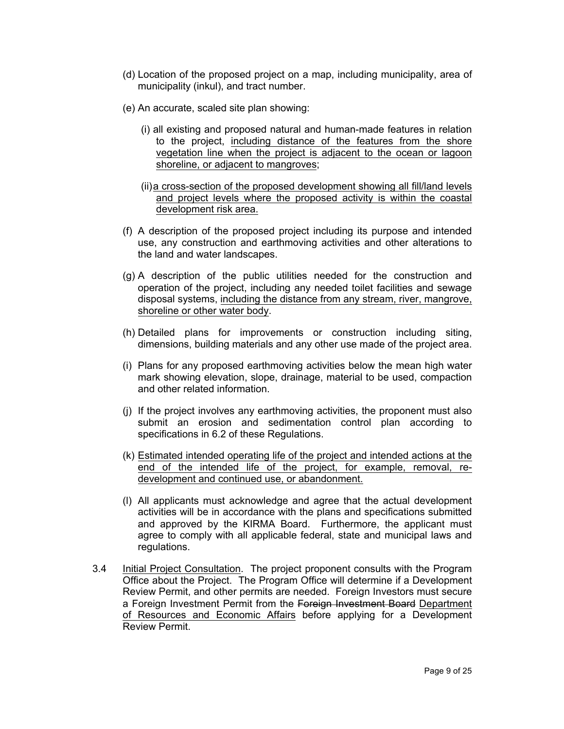- (d) Location of the proposed project on a map, including municipality, area of municipality (inkul), and tract number.
- (e) An accurate, scaled site plan showing:
	- (i) all existing and proposed natural and human-made features in relation to the project, including distance of the features from the shore vegetation line when the project is adjacent to the ocean or lagoon shoreline, or adjacent to mangroves;
	- (ii)a cross-section of the proposed development showing all fill/land levels and project levels where the proposed activity is within the coastal development risk area.
- (f) A description of the proposed project including its purpose and intended use, any construction and earthmoving activities and other alterations to the land and water landscapes.
- (g) A description of the public utilities needed for the construction and operation of the project, including any needed toilet facilities and sewage disposal systems, including the distance from any stream, river, mangrove, shoreline or other water body.
- (h) Detailed plans for improvements or construction including siting, dimensions, building materials and any other use made of the project area.
- (i) Plans for any proposed earthmoving activities below the mean high water mark showing elevation, slope, drainage, material to be used, compaction and other related information.
- (j) If the project involves any earthmoving activities, the proponent must also submit an erosion and sedimentation control plan according to specifications in 6.2 of these Regulations.
- (k) Estimated intended operating life of the project and intended actions at the end of the intended life of the project, for example, removal, redevelopment and continued use, or abandonment.
- (l) All applicants must acknowledge and agree that the actual development activities will be in accordance with the plans and specifications submitted and approved by the KIRMA Board. Furthermore, the applicant must agree to comply with all applicable federal, state and municipal laws and regulations.
- 3.4 Initial Project Consultation. The project proponent consults with the Program Office about the Project. The Program Office will determine if a Development Review Permit, and other permits are needed. Foreign Investors must secure a Foreign Investment Permit from the Foreign Investment Board Department of Resources and Economic Affairs before applying for a Development Review Permit.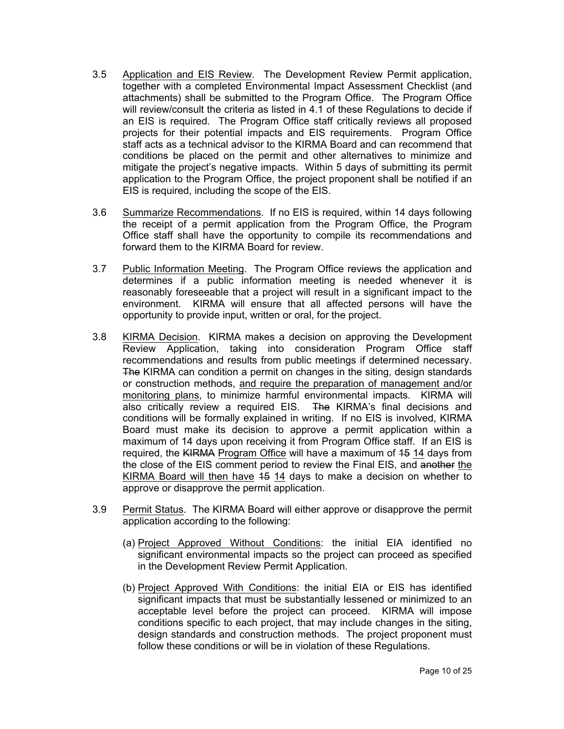- 3.5 Application and EIS Review. The Development Review Permit application, together with a completed Environmental Impact Assessment Checklist (and attachments) shall be submitted to the Program Office. The Program Office will review/consult the criteria as listed in 4.1 of these Regulations to decide if an EIS is required. The Program Office staff critically reviews all proposed projects for their potential impacts and EIS requirements. Program Office staff acts as a technical advisor to the KIRMA Board and can recommend that conditions be placed on the permit and other alternatives to minimize and mitigate the project's negative impacts. Within 5 days of submitting its permit application to the Program Office, the project proponent shall be notified if an EIS is required, including the scope of the EIS.
- 3.6 Summarize Recommendations. If no EIS is required, within 14 days following the receipt of a permit application from the Program Office, the Program Office staff shall have the opportunity to compile its recommendations and forward them to the KIRMA Board for review.
- 3.7 Public Information Meeting. The Program Office reviews the application and determines if a public information meeting is needed whenever it is reasonably foreseeable that a project will result in a significant impact to the environment. KIRMA will ensure that all affected persons will have the opportunity to provide input, written or oral, for the project.
- 3.8 KIRMA Decision. KIRMA makes a decision on approving the Development Review Application, taking into consideration Program Office staff recommendations and results from public meetings if determined necessary. The KIRMA can condition a permit on changes in the siting, design standards or construction methods, and require the preparation of management and/or monitoring plans, to minimize harmful environmental impacts. KIRMA will also critically review a required EIS. The KIRMA's final decisions and conditions will be formally explained in writing. If no EIS is involved, KIRMA Board must make its decision to approve a permit application within a maximum of 14 days upon receiving it from Program Office staff. If an EIS is required, the KIRMA Program Office will have a maximum of 15 14 days from the close of the EIS comment period to review the Final EIS, and another the KIRMA Board will then have 15 14 days to make a decision on whether to approve or disapprove the permit application.
- 3.9 Permit Status. The KIRMA Board will either approve or disapprove the permit application according to the following:
	- (a) Project Approved Without Conditions: the initial EIA identified no significant environmental impacts so the project can proceed as specified in the Development Review Permit Application.
	- (b) Project Approved With Conditions: the initial EIA or EIS has identified significant impacts that must be substantially lessened or minimized to an acceptable level before the project can proceed. KIRMA will impose conditions specific to each project, that may include changes in the siting, design standards and construction methods. The project proponent must follow these conditions or will be in violation of these Regulations.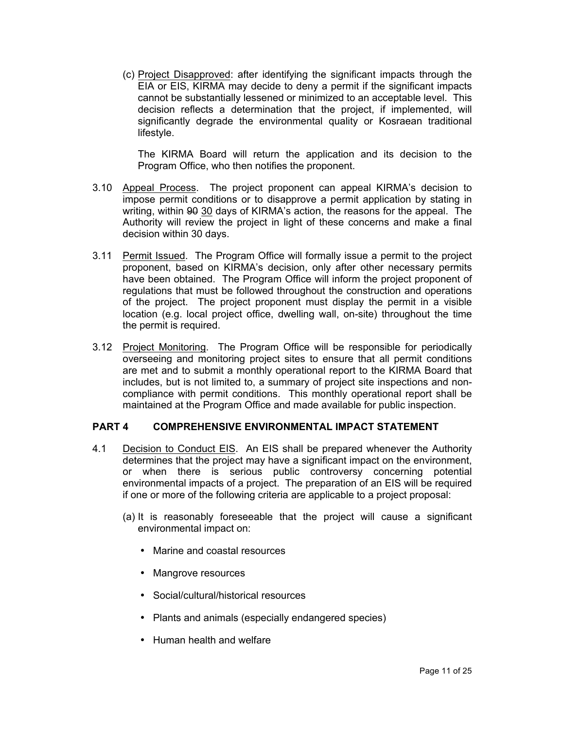(c) Project Disapproved: after identifying the significant impacts through the EIA or EIS, KIRMA may decide to deny a permit if the significant impacts cannot be substantially lessened or minimized to an acceptable level. This decision reflects a determination that the project, if implemented, will significantly degrade the environmental quality or Kosraean traditional lifestyle.

The KIRMA Board will return the application and its decision to the Program Office, who then notifies the proponent.

- 3.10 Appeal Process. The project proponent can appeal KIRMA's decision to impose permit conditions or to disapprove a permit application by stating in writing, within 90 30 days of KIRMA's action, the reasons for the appeal. The Authority will review the project in light of these concerns and make a final decision within 30 days.
- 3.11 Permit Issued. The Program Office will formally issue a permit to the project proponent, based on KIRMA's decision, only after other necessary permits have been obtained. The Program Office will inform the project proponent of regulations that must be followed throughout the construction and operations of the project. The project proponent must display the permit in a visible location (e.g. local project office, dwelling wall, on-site) throughout the time the permit is required.
- 3.12 Project Monitoring. The Program Office will be responsible for periodically overseeing and monitoring project sites to ensure that all permit conditions are met and to submit a monthly operational report to the KIRMA Board that includes, but is not limited to, a summary of project site inspections and noncompliance with permit conditions. This monthly operational report shall be maintained at the Program Office and made available for public inspection.

# **PART 4 COMPREHENSIVE ENVIRONMENTAL IMPACT STATEMENT**

- 4.1 Decision to Conduct EIS. An EIS shall be prepared whenever the Authority determines that the project may have a significant impact on the environment, or when there is serious public controversy concerning potential environmental impacts of a project. The preparation of an EIS will be required if one or more of the following criteria are applicable to a project proposal:
	- (a) It is reasonably foreseeable that the project will cause a significant environmental impact on:
		- Marine and coastal resources
		- Mangrove resources
		- Social/cultural/historical resources
		- Plants and animals (especially endangered species)
		- Human health and welfare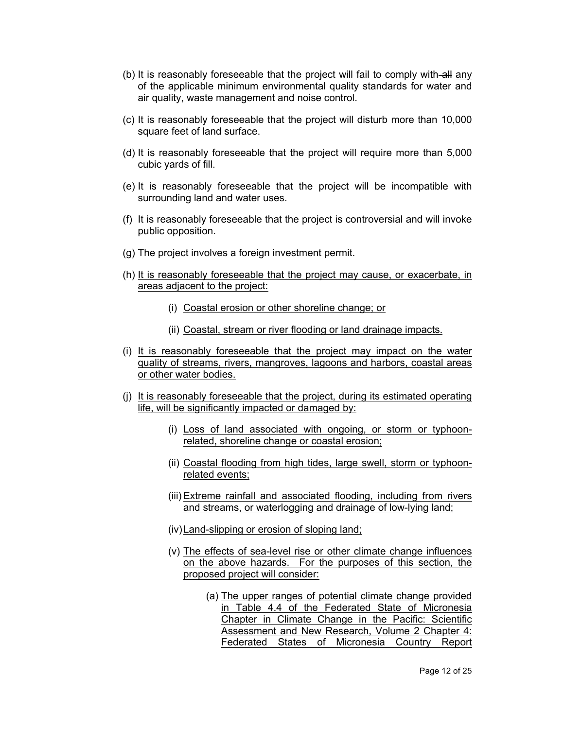- (b) It is reasonably foreseeable that the project will fail to comply with-all any of the applicable minimum environmental quality standards for water and air quality, waste management and noise control.
- (c) It is reasonably foreseeable that the project will disturb more than 10,000 square feet of land surface.
- (d) It is reasonably foreseeable that the project will require more than 5,000 cubic yards of fill.
- (e) It is reasonably foreseeable that the project will be incompatible with surrounding land and water uses.
- (f) It is reasonably foreseeable that the project is controversial and will invoke public opposition.
- (g) The project involves a foreign investment permit.
- (h) It is reasonably foreseeable that the project may cause, or exacerbate, in areas adjacent to the project:
	- (i) Coastal erosion or other shoreline change; or
	- (ii) Coastal, stream or river flooding or land drainage impacts.
- (i) It is reasonably foreseeable that the project may impact on the water quality of streams, rivers, mangroves, lagoons and harbors, coastal areas or other water bodies.
- (j) It is reasonably foreseeable that the project, during its estimated operating life, will be significantly impacted or damaged by:
	- (i) Loss of land associated with ongoing, or storm or typhoonrelated, shoreline change or coastal erosion;
	- (ii) Coastal flooding from high tides, large swell, storm or typhoonrelated events;
	- (iii) Extreme rainfall and associated flooding, including from rivers and streams, or waterlogging and drainage of low-lying land;
	- (iv)Land-slipping or erosion of sloping land;
	- (v) The effects of sea-level rise or other climate change influences on the above hazards. For the purposes of this section, the proposed project will consider:
		- (a) The upper ranges of potential climate change provided in Table 4.4 of the Federated State of Micronesia Chapter in Climate Change in the Pacific: Scientific Assessment and New Research, Volume 2 Chapter 4: Federated States of Micronesia Country Report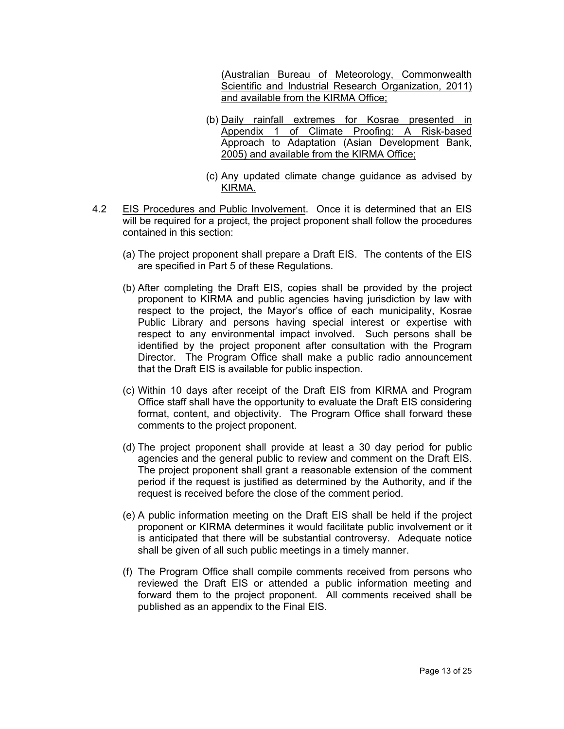(Australian Bureau of Meteorology, Commonwealth Scientific and Industrial Research Organization, 2011) and available from the KIRMA Office;

- (b) Daily rainfall extremes for Kosrae presented in Appendix 1 of Climate Proofing: A Risk-based Approach to Adaptation (Asian Development Bank, 2005) and available from the KIRMA Office;
- (c) Any updated climate change guidance as advised by KIRMA.
- 4.2 EIS Procedures and Public Involvement. Once it is determined that an EIS will be required for a project, the project proponent shall follow the procedures contained in this section:
	- (a) The project proponent shall prepare a Draft EIS. The contents of the EIS are specified in Part 5 of these Regulations.
	- (b) After completing the Draft EIS, copies shall be provided by the project proponent to KIRMA and public agencies having jurisdiction by law with respect to the project, the Mayor's office of each municipality, Kosrae Public Library and persons having special interest or expertise with respect to any environmental impact involved. Such persons shall be identified by the project proponent after consultation with the Program Director. The Program Office shall make a public radio announcement that the Draft EIS is available for public inspection.
	- (c) Within 10 days after receipt of the Draft EIS from KIRMA and Program Office staff shall have the opportunity to evaluate the Draft EIS considering format, content, and objectivity. The Program Office shall forward these comments to the project proponent.
	- (d) The project proponent shall provide at least a 30 day period for public agencies and the general public to review and comment on the Draft EIS. The project proponent shall grant a reasonable extension of the comment period if the request is justified as determined by the Authority, and if the request is received before the close of the comment period.
	- (e) A public information meeting on the Draft EIS shall be held if the project proponent or KIRMA determines it would facilitate public involvement or it is anticipated that there will be substantial controversy. Adequate notice shall be given of all such public meetings in a timely manner.
	- (f) The Program Office shall compile comments received from persons who reviewed the Draft EIS or attended a public information meeting and forward them to the project proponent. All comments received shall be published as an appendix to the Final EIS.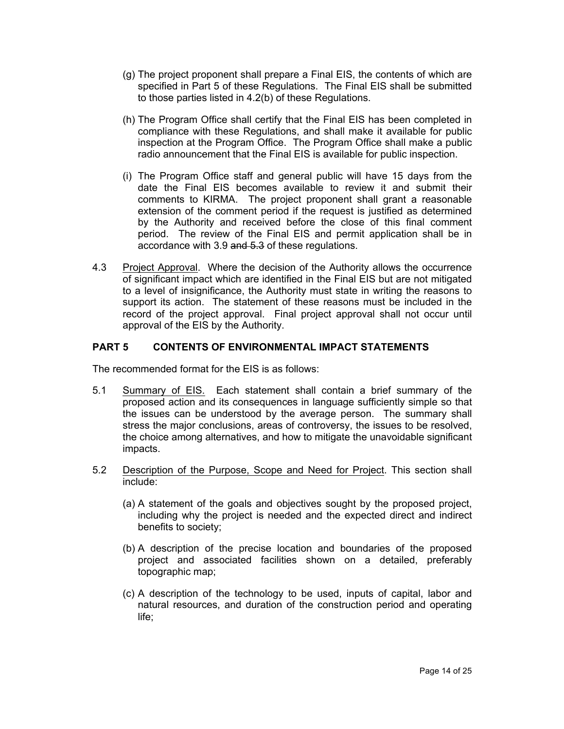- (g) The project proponent shall prepare a Final EIS, the contents of which are specified in Part 5 of these Regulations. The Final EIS shall be submitted to those parties listed in 4.2(b) of these Regulations.
- (h) The Program Office shall certify that the Final EIS has been completed in compliance with these Regulations, and shall make it available for public inspection at the Program Office. The Program Office shall make a public radio announcement that the Final EIS is available for public inspection.
- (i) The Program Office staff and general public will have 15 days from the date the Final EIS becomes available to review it and submit their comments to KIRMA. The project proponent shall grant a reasonable extension of the comment period if the request is justified as determined by the Authority and received before the close of this final comment period. The review of the Final EIS and permit application shall be in accordance with 3.9 and 5.3 of these regulations.
- 4.3 Project Approval. Where the decision of the Authority allows the occurrence of significant impact which are identified in the Final EIS but are not mitigated to a level of insignificance, the Authority must state in writing the reasons to support its action. The statement of these reasons must be included in the record of the project approval. Final project approval shall not occur until approval of the EIS by the Authority.

# **PART 5 CONTENTS OF ENVIRONMENTAL IMPACT STATEMENTS**

The recommended format for the EIS is as follows:

- 5.1 Summary of EIS. Each statement shall contain a brief summary of the proposed action and its consequences in language sufficiently simple so that the issues can be understood by the average person. The summary shall stress the major conclusions, areas of controversy, the issues to be resolved, the choice among alternatives, and how to mitigate the unavoidable significant impacts.
- 5.2 Description of the Purpose, Scope and Need for Project. This section shall include:
	- (a) A statement of the goals and objectives sought by the proposed project, including why the project is needed and the expected direct and indirect benefits to society;
	- (b) A description of the precise location and boundaries of the proposed project and associated facilities shown on a detailed, preferably topographic map;
	- (c) A description of the technology to be used, inputs of capital, labor and natural resources, and duration of the construction period and operating life;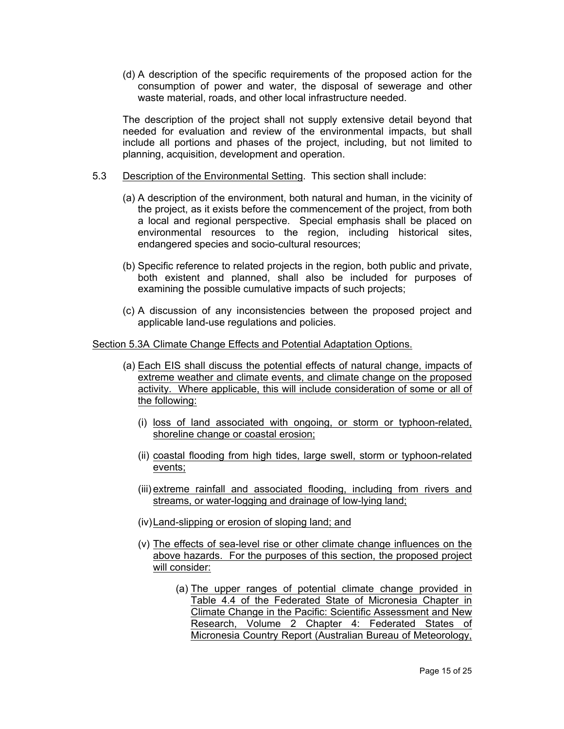(d) A description of the specific requirements of the proposed action for the consumption of power and water, the disposal of sewerage and other waste material, roads, and other local infrastructure needed.

The description of the project shall not supply extensive detail beyond that needed for evaluation and review of the environmental impacts, but shall include all portions and phases of the project, including, but not limited to planning, acquisition, development and operation.

- 5.3 Description of the Environmental Setting. This section shall include:
	- (a) A description of the environment, both natural and human, in the vicinity of the project, as it exists before the commencement of the project, from both a local and regional perspective. Special emphasis shall be placed on environmental resources to the region, including historical sites, endangered species and socio-cultural resources;
	- (b) Specific reference to related projects in the region, both public and private, both existent and planned, shall also be included for purposes of examining the possible cumulative impacts of such projects;
	- (c) A discussion of any inconsistencies between the proposed project and applicable land-use regulations and policies.

Section 5.3A Climate Change Effects and Potential Adaptation Options.

- (a) Each EIS shall discuss the potential effects of natural change, impacts of extreme weather and climate events, and climate change on the proposed activity. Where applicable, this will include consideration of some or all of the following:
	- (i) loss of land associated with ongoing, or storm or typhoon-related, shoreline change or coastal erosion;
	- (ii) coastal flooding from high tides, large swell, storm or typhoon-related events;
	- (iii) extreme rainfall and associated flooding, including from rivers and streams, or water-logging and drainage of low-lying land;
	- (iv)Land-slipping or erosion of sloping land; and
	- (v) The effects of sea-level rise or other climate change influences on the above hazards. For the purposes of this section, the proposed project will consider:
		- (a) The upper ranges of potential climate change provided in Table 4.4 of the Federated State of Micronesia Chapter in Climate Change in the Pacific: Scientific Assessment and New Research, Volume 2 Chapter 4: Federated States of Micronesia Country Report (Australian Bureau of Meteorology,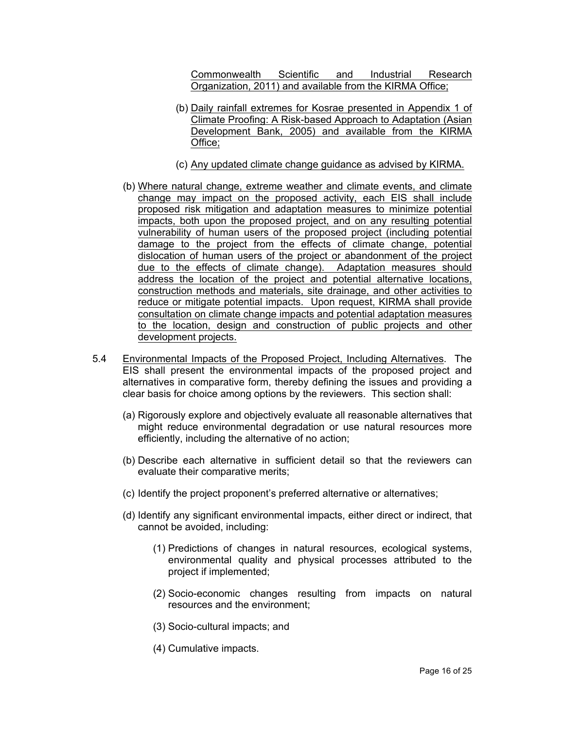Commonwealth Scientific and Industrial Research Organization, 2011) and available from the KIRMA Office;

- (b) Daily rainfall extremes for Kosrae presented in Appendix 1 of Climate Proofing: A Risk-based Approach to Adaptation (Asian Development Bank, 2005) and available from the KIRMA Office;
- (c) Any updated climate change guidance as advised by KIRMA.
- (b) Where natural change, extreme weather and climate events, and climate change may impact on the proposed activity, each EIS shall include proposed risk mitigation and adaptation measures to minimize potential impacts, both upon the proposed project, and on any resulting potential vulnerability of human users of the proposed project (including potential damage to the project from the effects of climate change, potential dislocation of human users of the project or abandonment of the project due to the effects of climate change). Adaptation measures should address the location of the project and potential alternative locations, construction methods and materials, site drainage, and other activities to reduce or mitigate potential impacts. Upon request, KIRMA shall provide consultation on climate change impacts and potential adaptation measures to the location, design and construction of public projects and other development projects.
- 5.4 Environmental Impacts of the Proposed Project, Including Alternatives. The EIS shall present the environmental impacts of the proposed project and alternatives in comparative form, thereby defining the issues and providing a clear basis for choice among options by the reviewers. This section shall:
	- (a) Rigorously explore and objectively evaluate all reasonable alternatives that might reduce environmental degradation or use natural resources more efficiently, including the alternative of no action;
	- (b) Describe each alternative in sufficient detail so that the reviewers can evaluate their comparative merits;
	- (c) Identify the project proponent's preferred alternative or alternatives;
	- (d) Identify any significant environmental impacts, either direct or indirect, that cannot be avoided, including:
		- (1) Predictions of changes in natural resources, ecological systems, environmental quality and physical processes attributed to the project if implemented;
		- (2) Socio-economic changes resulting from impacts on natural resources and the environment;
		- (3) Socio-cultural impacts; and
		- (4) Cumulative impacts.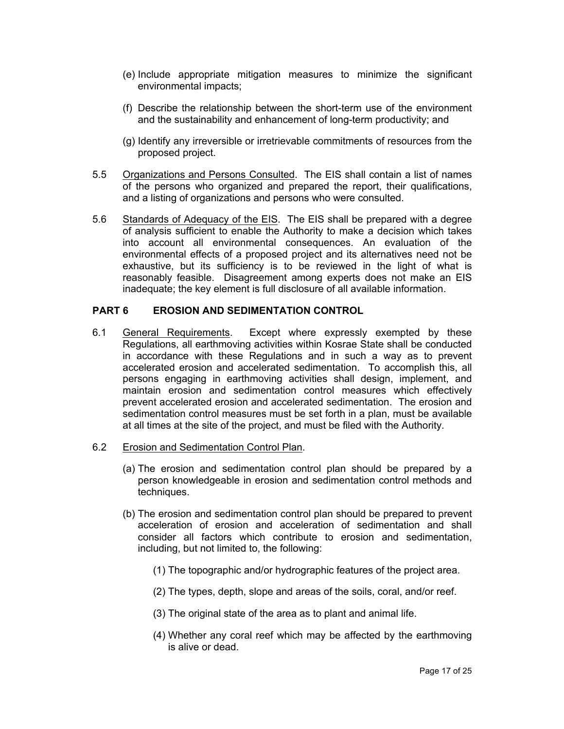- (e) Include appropriate mitigation measures to minimize the significant environmental impacts;
- (f) Describe the relationship between the short-term use of the environment and the sustainability and enhancement of long-term productivity; and
- (g) Identify any irreversible or irretrievable commitments of resources from the proposed project.
- 5.5 Organizations and Persons Consulted. The EIS shall contain a list of names of the persons who organized and prepared the report, their qualifications, and a listing of organizations and persons who were consulted.
- 5.6 Standards of Adequacy of the EIS. The EIS shall be prepared with a degree of analysis sufficient to enable the Authority to make a decision which takes into account all environmental consequences. An evaluation of the environmental effects of a proposed project and its alternatives need not be exhaustive, but its sufficiency is to be reviewed in the light of what is reasonably feasible. Disagreement among experts does not make an EIS inadequate; the key element is full disclosure of all available information.

## **PART 6 EROSION AND SEDIMENTATION CONTROL**

6.1 General Requirements. Except where expressly exempted by these Regulations, all earthmoving activities within Kosrae State shall be conducted in accordance with these Regulations and in such a way as to prevent accelerated erosion and accelerated sedimentation. To accomplish this, all persons engaging in earthmoving activities shall design, implement, and maintain erosion and sedimentation control measures which effectively prevent accelerated erosion and accelerated sedimentation. The erosion and sedimentation control measures must be set forth in a plan, must be available at all times at the site of the project, and must be filed with the Authority.

#### 6.2 Erosion and Sedimentation Control Plan.

- (a) The erosion and sedimentation control plan should be prepared by a person knowledgeable in erosion and sedimentation control methods and techniques.
- (b) The erosion and sedimentation control plan should be prepared to prevent acceleration of erosion and acceleration of sedimentation and shall consider all factors which contribute to erosion and sedimentation, including, but not limited to, the following:
	- (1) The topographic and/or hydrographic features of the project area.
	- (2) The types, depth, slope and areas of the soils, coral, and/or reef.
	- (3) The original state of the area as to plant and animal life.
	- (4) Whether any coral reef which may be affected by the earthmoving is alive or dead.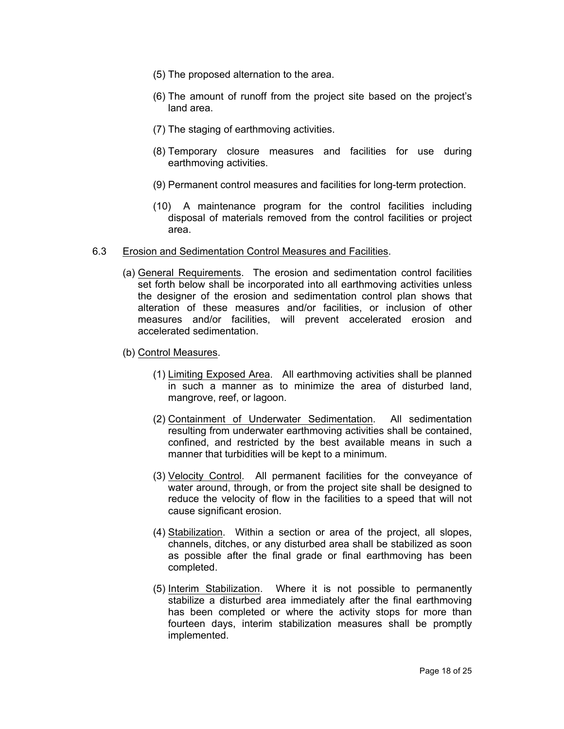- (5) The proposed alternation to the area.
- (6) The amount of runoff from the project site based on the project's land area.
- (7) The staging of earthmoving activities.
- (8) Temporary closure measures and facilities for use during earthmoving activities.
- (9) Permanent control measures and facilities for long-term protection.
- (10) A maintenance program for the control facilities including disposal of materials removed from the control facilities or project area.

## 6.3 Erosion and Sedimentation Control Measures and Facilities.

- (a) General Requirements. The erosion and sedimentation control facilities set forth below shall be incorporated into all earthmoving activities unless the designer of the erosion and sedimentation control plan shows that alteration of these measures and/or facilities, or inclusion of other measures and/or facilities, will prevent accelerated erosion and accelerated sedimentation.
- (b) Control Measures.
	- (1) Limiting Exposed Area. All earthmoving activities shall be planned in such a manner as to minimize the area of disturbed land, mangrove, reef, or lagoon.
	- (2) Containment of Underwater Sedimentation. All sedimentation resulting from underwater earthmoving activities shall be contained, confined, and restricted by the best available means in such a manner that turbidities will be kept to a minimum.
	- (3) Velocity Control. All permanent facilities for the conveyance of water around, through, or from the project site shall be designed to reduce the velocity of flow in the facilities to a speed that will not cause significant erosion.
	- (4) Stabilization. Within a section or area of the project, all slopes, channels, ditches, or any disturbed area shall be stabilized as soon as possible after the final grade or final earthmoving has been completed.
	- (5) Interim Stabilization. Where it is not possible to permanently stabilize a disturbed area immediately after the final earthmoving has been completed or where the activity stops for more than fourteen days, interim stabilization measures shall be promptly implemented.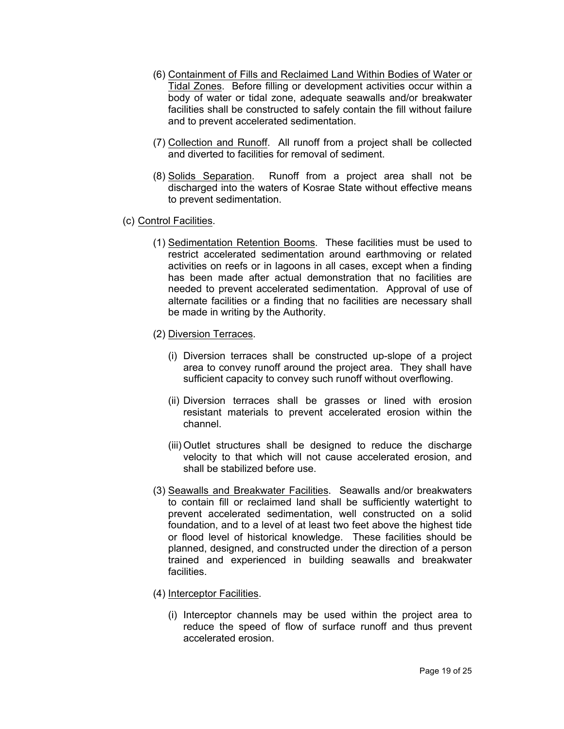- (6) Containment of Fills and Reclaimed Land Within Bodies of Water or Tidal Zones. Before filling or development activities occur within a body of water or tidal zone, adequate seawalls and/or breakwater facilities shall be constructed to safely contain the fill without failure and to prevent accelerated sedimentation.
- (7) Collection and Runoff. All runoff from a project shall be collected and diverted to facilities for removal of sediment.
- (8) Solids Separation. Runoff from a project area shall not be discharged into the waters of Kosrae State without effective means to prevent sedimentation.
- (c) Control Facilities.
	- (1) Sedimentation Retention Booms. These facilities must be used to restrict accelerated sedimentation around earthmoving or related activities on reefs or in lagoons in all cases, except when a finding has been made after actual demonstration that no facilities are needed to prevent accelerated sedimentation. Approval of use of alternate facilities or a finding that no facilities are necessary shall be made in writing by the Authority.
	- (2) Diversion Terraces.
		- (i) Diversion terraces shall be constructed up-slope of a project area to convey runoff around the project area. They shall have sufficient capacity to convey such runoff without overflowing.
		- (ii) Diversion terraces shall be grasses or lined with erosion resistant materials to prevent accelerated erosion within the channel.
		- (iii) Outlet structures shall be designed to reduce the discharge velocity to that which will not cause accelerated erosion, and shall be stabilized before use.
	- (3) Seawalls and Breakwater Facilities. Seawalls and/or breakwaters to contain fill or reclaimed land shall be sufficiently watertight to prevent accelerated sedimentation, well constructed on a solid foundation, and to a level of at least two feet above the highest tide or flood level of historical knowledge. These facilities should be planned, designed, and constructed under the direction of a person trained and experienced in building seawalls and breakwater facilities.
	- (4) Interceptor Facilities.
		- (i) Interceptor channels may be used within the project area to reduce the speed of flow of surface runoff and thus prevent accelerated erosion.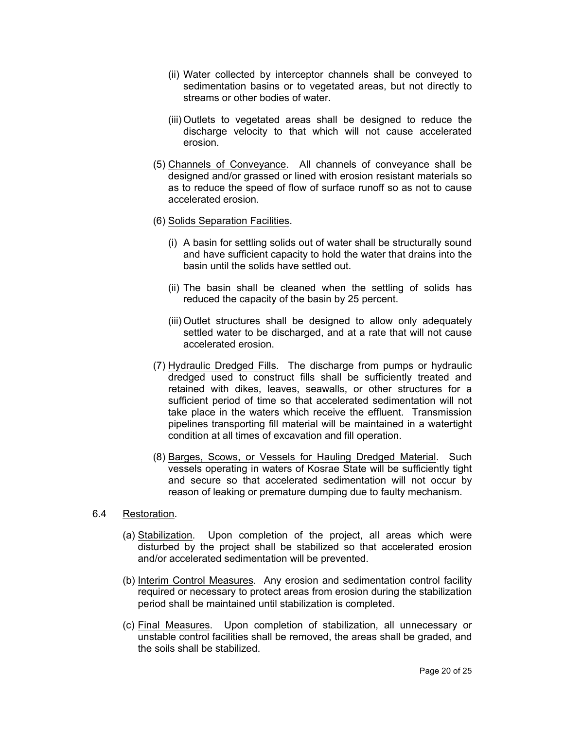- (ii) Water collected by interceptor channels shall be conveyed to sedimentation basins or to vegetated areas, but not directly to streams or other bodies of water.
- (iii) Outlets to vegetated areas shall be designed to reduce the discharge velocity to that which will not cause accelerated erosion.
- (5) Channels of Conveyance. All channels of conveyance shall be designed and/or grassed or lined with erosion resistant materials so as to reduce the speed of flow of surface runoff so as not to cause accelerated erosion.
- (6) Solids Separation Facilities.
	- (i) A basin for settling solids out of water shall be structurally sound and have sufficient capacity to hold the water that drains into the basin until the solids have settled out.
	- (ii) The basin shall be cleaned when the settling of solids has reduced the capacity of the basin by 25 percent.
	- (iii) Outlet structures shall be designed to allow only adequately settled water to be discharged, and at a rate that will not cause accelerated erosion.
- (7) Hydraulic Dredged Fills. The discharge from pumps or hydraulic dredged used to construct fills shall be sufficiently treated and retained with dikes, leaves, seawalls, or other structures for a sufficient period of time so that accelerated sedimentation will not take place in the waters which receive the effluent. Transmission pipelines transporting fill material will be maintained in a watertight condition at all times of excavation and fill operation.
- (8) Barges, Scows, or Vessels for Hauling Dredged Material. Such vessels operating in waters of Kosrae State will be sufficiently tight and secure so that accelerated sedimentation will not occur by reason of leaking or premature dumping due to faulty mechanism.
- 6.4 Restoration.
	- (a) Stabilization. Upon completion of the project, all areas which were disturbed by the project shall be stabilized so that accelerated erosion and/or accelerated sedimentation will be prevented.
	- (b) Interim Control Measures. Any erosion and sedimentation control facility required or necessary to protect areas from erosion during the stabilization period shall be maintained until stabilization is completed.
	- (c) Final Measures. Upon completion of stabilization, all unnecessary or unstable control facilities shall be removed, the areas shall be graded, and the soils shall be stabilized.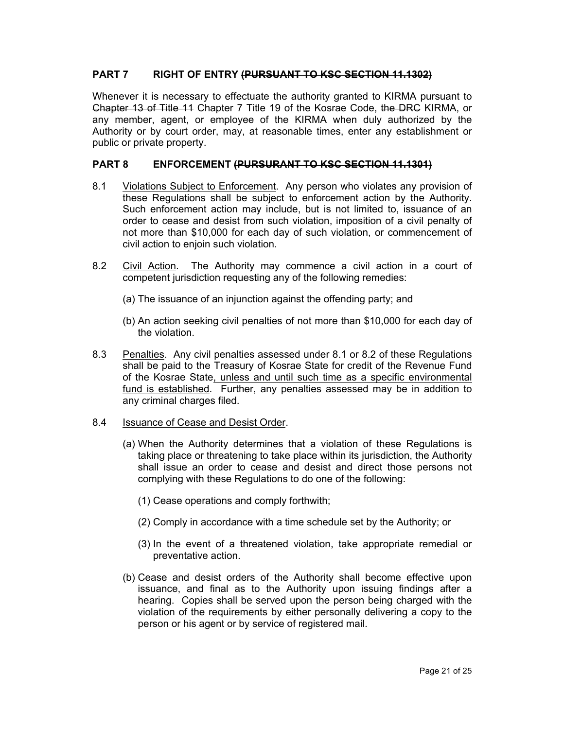# **PART 7 RIGHT OF ENTRY (PURSUANT TO KSC SECTION 11.1302)**

Whenever it is necessary to effectuate the authority granted to KIRMA pursuant to Chapter 13 of Title 11 Chapter 7 Title 19 of the Kosrae Code, the DRC KIRMA, or any member, agent, or employee of the KIRMA when duly authorized by the Authority or by court order, may, at reasonable times, enter any establishment or public or private property.

### **PART 8 ENFORCEMENT (PURSURANT TO KSC SECTION 11.1301)**

- 8.1 Violations Subject to Enforcement. Any person who violates any provision of these Regulations shall be subject to enforcement action by the Authority. Such enforcement action may include, but is not limited to, issuance of an order to cease and desist from such violation, imposition of a civil penalty of not more than \$10,000 for each day of such violation, or commencement of civil action to enjoin such violation.
- 8.2 Civil Action. The Authority may commence a civil action in a court of competent jurisdiction requesting any of the following remedies:
	- (a) The issuance of an injunction against the offending party; and
	- (b) An action seeking civil penalties of not more than \$10,000 for each day of the violation.
- 8.3 Penalties. Any civil penalties assessed under 8.1 or 8.2 of these Regulations shall be paid to the Treasury of Kosrae State for credit of the Revenue Fund of the Kosrae State, unless and until such time as a specific environmental fund is established. Further, any penalties assessed may be in addition to any criminal charges filed.
- 8.4 Issuance of Cease and Desist Order.
	- (a) When the Authority determines that a violation of these Regulations is taking place or threatening to take place within its jurisdiction, the Authority shall issue an order to cease and desist and direct those persons not complying with these Regulations to do one of the following:
		- (1) Cease operations and comply forthwith;
		- (2) Comply in accordance with a time schedule set by the Authority; or
		- (3) In the event of a threatened violation, take appropriate remedial or preventative action.
	- (b) Cease and desist orders of the Authority shall become effective upon issuance, and final as to the Authority upon issuing findings after a hearing. Copies shall be served upon the person being charged with the violation of the requirements by either personally delivering a copy to the person or his agent or by service of registered mail.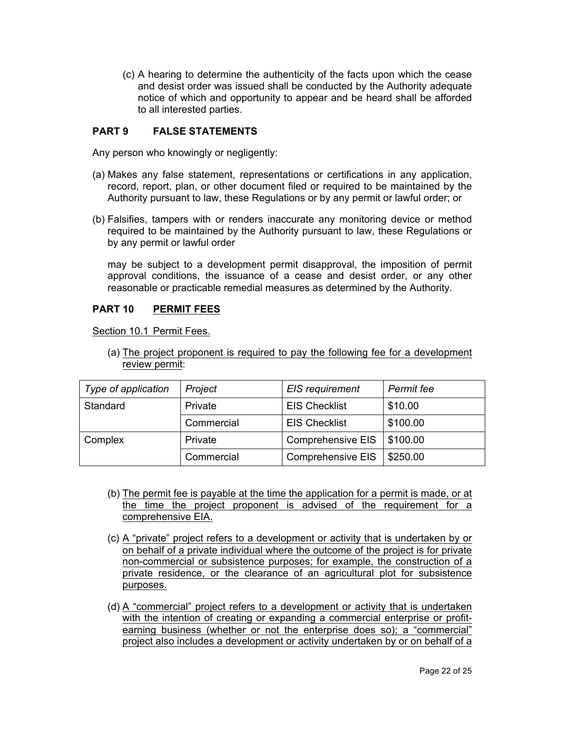(c) A hearing to determine the authenticity of the facts upon which the cease and desist order was issued shall be conducted by the Authority adequate notice of which and opportunity to appear and be heard shall be afforded to all interested parties.

# **PART 9 FALSE STATEMENTS**

Any person who knowingly or negligently:

- (a) Makes any false statement, representations or certifications in any application, record, report, plan, or other document filed or required to be maintained by the Authority pursuant to law, these Regulations or by any permit or lawful order; or
- (b) Falsifies, tampers with or renders inaccurate any monitoring device or method required to be maintained by the Authority pursuant to law, these Regulations or by any permit or lawful order

may be subject to a development permit disapproval, the imposition of permit approval conditions, the issuance of a cease and desist order, or any other reasonable or practicable remedial measures as determined by the Authority.

# **PART 10 PERMIT FEES**

Section 10.1 Permit Fees.

(a) The project proponent is required to pay the following fee for a development review permit:

| Type of application | Project    | EIS requirement          | Permit fee |
|---------------------|------------|--------------------------|------------|
| Standard            | Private    | <b>EIS Checklist</b>     | \$10.00    |
|                     | Commercial | <b>EIS Checklist</b>     | \$100.00   |
| Complex             | Private    | <b>Comprehensive EIS</b> | \$100.00   |
|                     | Commercial | Comprehensive EIS        | \$250.00   |

- (b) The permit fee is payable at the time the application for a permit is made, or at the time the project proponent is advised of the requirement for a comprehensive EIA.
- (c) A "private" project refers to a development or activity that is undertaken by or on behalf of a private individual where the outcome of the project is for private non-commercial or subsistence purposes; for example, the construction of a private residence, or the clearance of an agricultural plot for subsistence purposes.
- (d) A "commercial" project refers to a development or activity that is undertaken with the intention of creating or expanding a commercial enterprise or profitearning business (whether or not the enterprise does so); a "commercial" project also includes a development or activity undertaken by or on behalf of a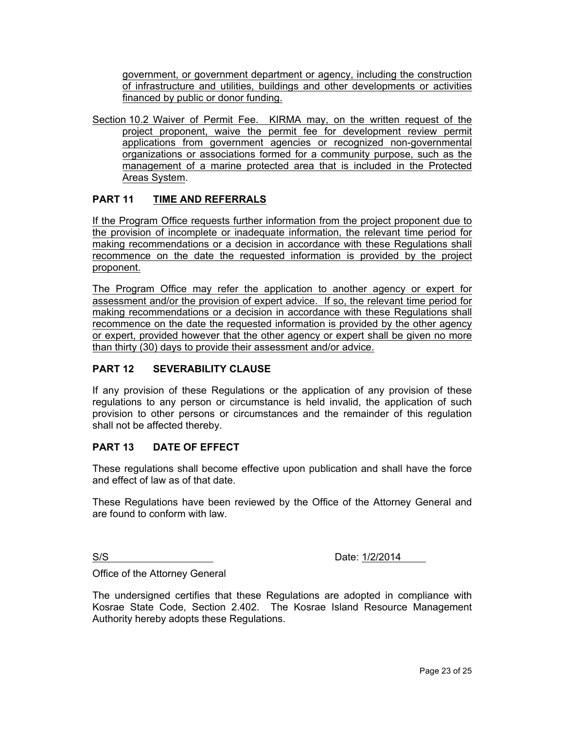government, or government department or agency, including the construction of infrastructure and utilities, buildings and other developments or activities financed by public or donor funding.

Section 10.2 Waiver of Permit Fee. KIRMA may, on the written request of the project proponent, waive the permit fee for development review permit applications from government agencies or recognized non-governmental organizations or associations formed for a community purpose, such as the management of a marine protected area that is included in the Protected Areas System.

# **PART 11 TIME AND REFERRALS**

If the Program Office requests further information from the project proponent due to the provision of incomplete or inadequate information, the relevant time period for making recommendations or a decision in accordance with these Regulations shall recommence on the date the requested information is provided by the project proponent.

The Program Office may refer the application to another agency or expert for assessment and/or the provision of expert advice. If so, the relevant time period for making recommendations or a decision in accordance with these Regulations shall recommence on the date the requested information is provided by the other agency or expert, provided however that the other agency or expert shall be given no more than thirty (30) days to provide their assessment and/or advice.

#### **PART 12 SEVERABILITY CLAUSE**

If any provision of these Regulations or the application of any provision of these regulations to any person or circumstance is held invalid, the application of such provision to other persons or circumstances and the remainder of this regulation shall not be affected thereby.

#### **PART 13 DATE OF EFFECT**

These regulations shall become effective upon publication and shall have the force and effect of law as of that date.

These Regulations have been reviewed by the Office of the Attorney General and are found to conform with law.

S/S Date: 1/2/2014

Office of the Attorney General

The undersigned certifies that these Regulations are adopted in compliance with Kosrae State Code, Section 2.402. The Kosrae Island Resource Management Authority hereby adopts these Regulations.